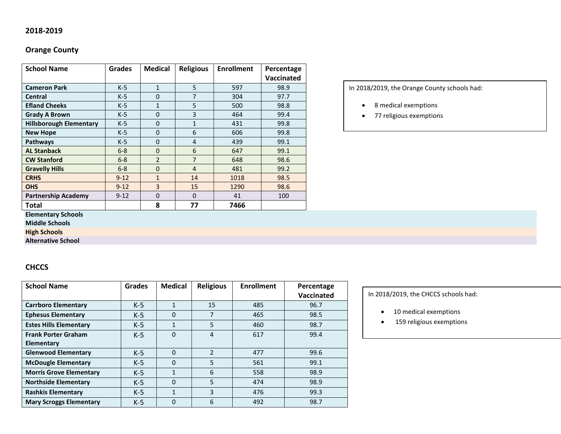### **2018-2019**

# **Orange County**

| <b>School Name</b>             | <b>Grades</b> | <b>Medical</b> | <b>Religious</b> | <b>Enrollment</b> | Percentage |
|--------------------------------|---------------|----------------|------------------|-------------------|------------|
|                                |               |                |                  |                   | Vaccinated |
| <b>Cameron Park</b>            | $K-5$         | 1              | 5                | 597               | 98.9       |
| <b>Central</b>                 | $K-5$         | $\Omega$       | 7                | 304               | 97.7       |
| <b>Efland Cheeks</b>           | $K-5$         | $\mathbf{1}$   | 5                | 500               | 98.8       |
| <b>Grady A Brown</b>           | $K-5$         | $\mathbf{0}$   | 3                | 464               | 99.4       |
| <b>Hillsborough Elementary</b> | $K-5$         | $\Omega$       | 1                | 431               | 99.8       |
| <b>New Hope</b>                | $K-5$         | $\Omega$       | 6                | 606               | 99.8       |
| <b>Pathways</b>                | $K-5$         | $\mathbf{0}$   | 4                | 439               | 99.1       |
| <b>AL Stanback</b>             | $6 - 8$       | $\mathbf 0$    | 6                | 647               | 99.1       |
| <b>CW Stanford</b>             | $6 - 8$       | $\overline{2}$ | $\overline{7}$   | 648               | 98.6       |
| <b>Gravelly Hills</b>          | $6 - 8$       | $\Omega$       | $\overline{4}$   | 481               | 99.2       |
| <b>CRHS</b>                    | $9 - 12$      | $\mathbf{1}$   | 14               | 1018              | 98.5       |
| <b>OHS</b>                     | $9 - 12$      | 3              | 15               | 1290              | 98.6       |
| <b>Partnership Academy</b>     | $9 - 12$      | $\Omega$       | $\Omega$         | 41                | 100        |
| <b>Total</b>                   |               | 8              | 77               | 7466              |            |

In 2018/2019, the Orange County schools had:

- 8 medical exemptions
- 77 religious exemptions

#### **Elementary Schools**

**Middle Schools**

**High Schools**

**Alternative School**

### **CHCCS**

| <b>School Name</b>             | <b>Grades</b> | <b>Medical</b> | <b>Religious</b> | <b>Enrollment</b> | Percentage |
|--------------------------------|---------------|----------------|------------------|-------------------|------------|
|                                |               |                |                  |                   | Vaccinated |
| <b>Carrboro Elementary</b>     | $K-5$         | $\mathbf{1}$   | 15               | 485               | 96.7       |
| <b>Ephesus Elementary</b>      | $K-5$         | $\Omega$       |                  | 465               | 98.5       |
| <b>Estes Hills Elementary</b>  | $K-5$         | $\mathbf{1}$   | 5                | 460               | 98.7       |
| <b>Frank Porter Graham</b>     | $K-5$         | 0              | 4                | 617               | 99.4       |
| Elementary                     |               |                |                  |                   |            |
| <b>Glenwood Elementary</b>     | $K-5$         | $\Omega$       | $\mathfrak{p}$   | 477               | 99.6       |
| <b>McDougle Elementary</b>     | $K-5$         | $\Omega$       | 5                | 561               | 99.1       |
| <b>Morris Grove Elementary</b> | $K-5$         | $\mathbf{1}$   | 6                | 558               | 98.9       |
| <b>Northside Elementary</b>    | $K-5$         | $\Omega$       | 5                | 474               | 98.9       |
| <b>Rashkis Elementary</b>      | $K-5$         | $\mathbf{1}$   | 3                | 476               | 99.3       |
| <b>Mary Scroggs Elementary</b> | $K-5$         | 0              | 6                | 492               | 98.7       |

#### In 2018/2019, the CHCCS schools had:

- 10 medical exemptions
- 159 religious exemptions